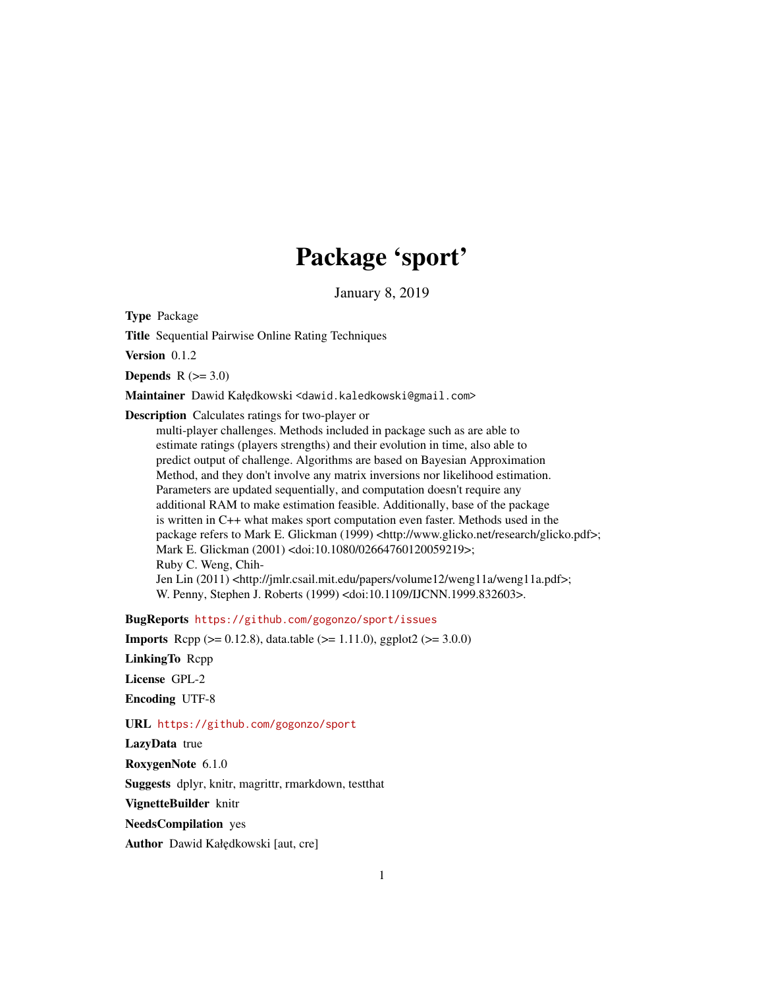## Package 'sport'

January 8, 2019

Type Package

Title Sequential Pairwise Online Rating Techniques

Version 0.1.2

Depends  $R$  ( $>= 3.0$ )

Maintainer Dawid Kałędkowski <dawid.kaledkowski@gmail.com>

Description Calculates ratings for two-player or

multi-player challenges. Methods included in package such as are able to estimate ratings (players strengths) and their evolution in time, also able to predict output of challenge. Algorithms are based on Bayesian Approximation Method, and they don't involve any matrix inversions nor likelihood estimation. Parameters are updated sequentially, and computation doesn't require any additional RAM to make estimation feasible. Additionally, base of the package is written in C++ what makes sport computation even faster. Methods used in the package refers to Mark E. Glickman (1999) <http://www.glicko.net/research/glicko.pdf>; Mark E. Glickman (2001) <doi:10.1080/02664760120059219>; Ruby C. Weng, Chih-Jen Lin (2011) <http://jmlr.csail.mit.edu/papers/volume12/weng11a/weng11a.pdf>; W. Penny, Stephen J. Roberts (1999) <doi:10.1109/IJCNN.1999.832603>.

BugReports <https://github.com/gogonzo/sport/issues>

**Imports** Rcpp ( $>= 0.12.8$ ), data.table ( $>= 1.11.0$ ), ggplot2 ( $>= 3.0.0$ )

LinkingTo Rcpp

License GPL-2

Encoding UTF-8

URL <https://github.com/gogonzo/sport>

LazyData true

RoxygenNote 6.1.0

Suggests dplyr, knitr, magrittr, rmarkdown, testthat

VignetteBuilder knitr

NeedsCompilation yes

Author Dawid Kałędkowski [aut, cre]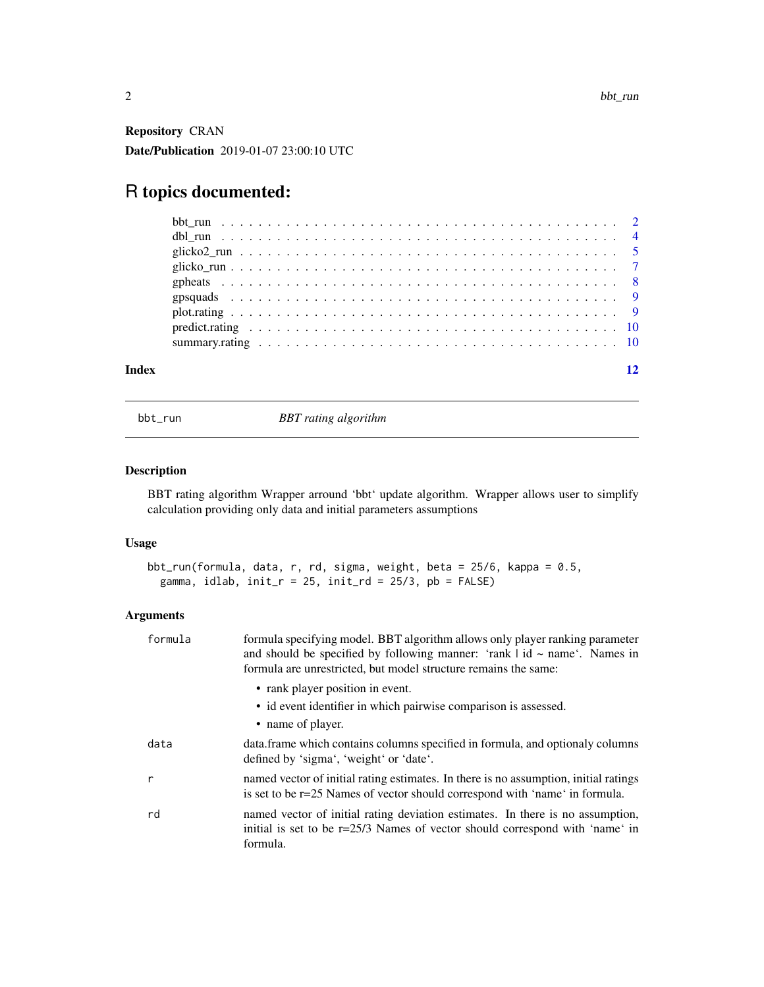<span id="page-1-0"></span>Repository CRAN Date/Publication 2019-01-07 23:00:10 UTC

## R topics documented:

| Index |  |
|-------|--|

bbt\_run *BBT rating algorithm*

#### Description

BBT rating algorithm Wrapper arround 'bbt' update algorithm. Wrapper allows user to simplify calculation providing only data and initial parameters assumptions

#### Usage

```
bbt_run(formula, data, r, rd, sigma, weight, beta = 25/6, kappa = 0.5,
 gamma, idlab, init_r = 25, init_r d = 25/3, pb = FALSE)
```

| formula | formula specifying model. BBT algorithm allows only player ranking parameter<br>and should be specified by following manner: 'rank $\vert$ id $\sim$ name'. Names in<br>formula are unrestricted, but model structure remains the same: |
|---------|-----------------------------------------------------------------------------------------------------------------------------------------------------------------------------------------------------------------------------------------|
|         | • rank player position in event.<br>• id event identifier in which pairwise comparison is assessed.<br>• name of player.                                                                                                                |
| data    | data.frame which contains columns specified in formula, and optionaly columns<br>defined by 'sigma', 'weight' or 'date'.                                                                                                                |
| r       | named vector of initial rating estimates. In there is no assumption, initial ratings<br>is set to be r=25 Names of vector should correspond with 'name' in formula.                                                                     |
| rd      | named vector of initial rating deviation estimates. In there is no assumption,<br>initial is set to be r=25/3 Names of vector should correspond with 'name' in<br>formula.                                                              |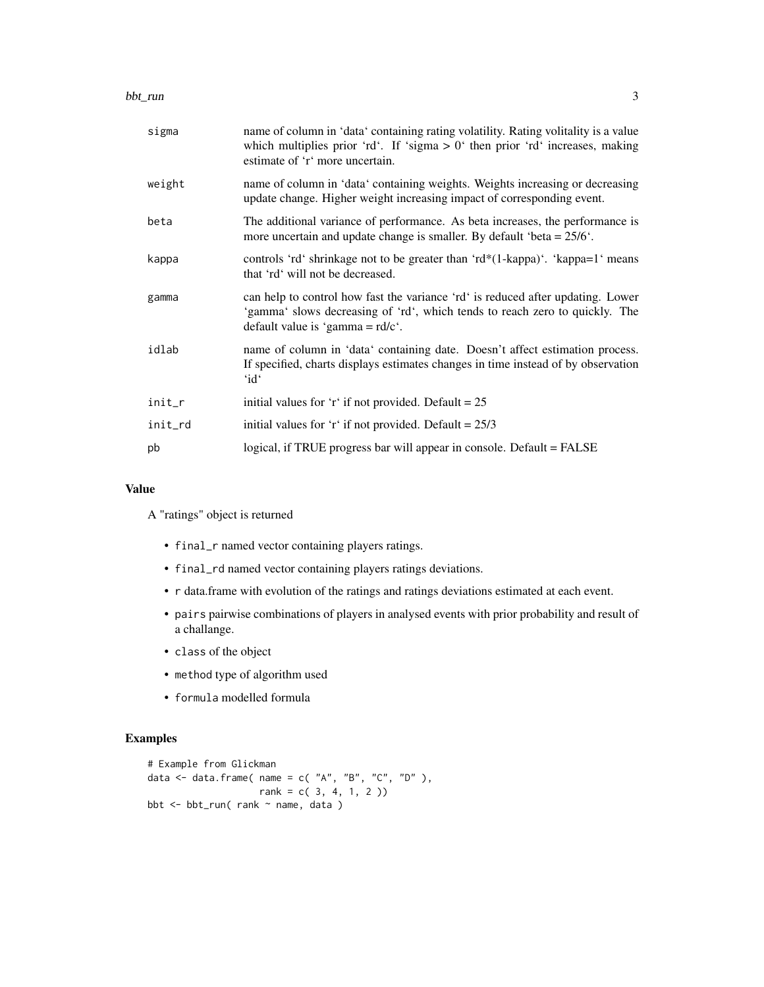| sigma   | name of column in 'data' containing rating volatility. Rating volitality is a value<br>which multiplies prior 'rd'. If 'sigma $> 0$ ' then prior 'rd' increases, making<br>estimate of 'r' more uncertain.   |
|---------|--------------------------------------------------------------------------------------------------------------------------------------------------------------------------------------------------------------|
| weight  | name of column in 'data' containing weights. Weights increasing or decreasing<br>update change. Higher weight increasing impact of corresponding event.                                                      |
| beta    | The additional variance of performance. As beta increases, the performance is<br>more uncertain and update change is smaller. By default 'beta = $25/6$ '.                                                   |
| kappa   | controls 'rd' shrinkage not to be greater than 'rd*(1-kappa)'. 'kappa=1' means<br>that 'rd' will not be decreased.                                                                                           |
| gamma   | can help to control how fast the variance 'rd' is reduced after updating. Lower<br>'gamma' slows decreasing of 'rd', which tends to reach zero to quickly. The<br>default value is 'gamma = $\text{rd/c}$ '. |
| idlab   | name of column in 'data' containing date. Doesn't affect estimation process.<br>If specified, charts displays estimates changes in time instead of by observation<br>'id'                                    |
| init_r  | initial values for 'r' if not provided. Default = $25$                                                                                                                                                       |
| init_rd | initial values for 'r' if not provided. Default = $25/3$                                                                                                                                                     |
| pb      | logical, if TRUE progress bar will appear in console. Default = FALSE                                                                                                                                        |
|         |                                                                                                                                                                                                              |

#### Value

A "ratings" object is returned

- final\_r named vector containing players ratings.
- final\_rd named vector containing players ratings deviations.
- r data.frame with evolution of the ratings and ratings deviations estimated at each event.
- pairs pairwise combinations of players in analysed events with prior probability and result of a challange.
- class of the object
- method type of algorithm used
- formula modelled formula

#### Examples

```
# Example from Glickman
data \leq data.frame( name = c( "A", "B", "C", "D" ),
                  rank = c(3, 4, 1, 2)bbt <- bbt_run( rank ~ name, data )
```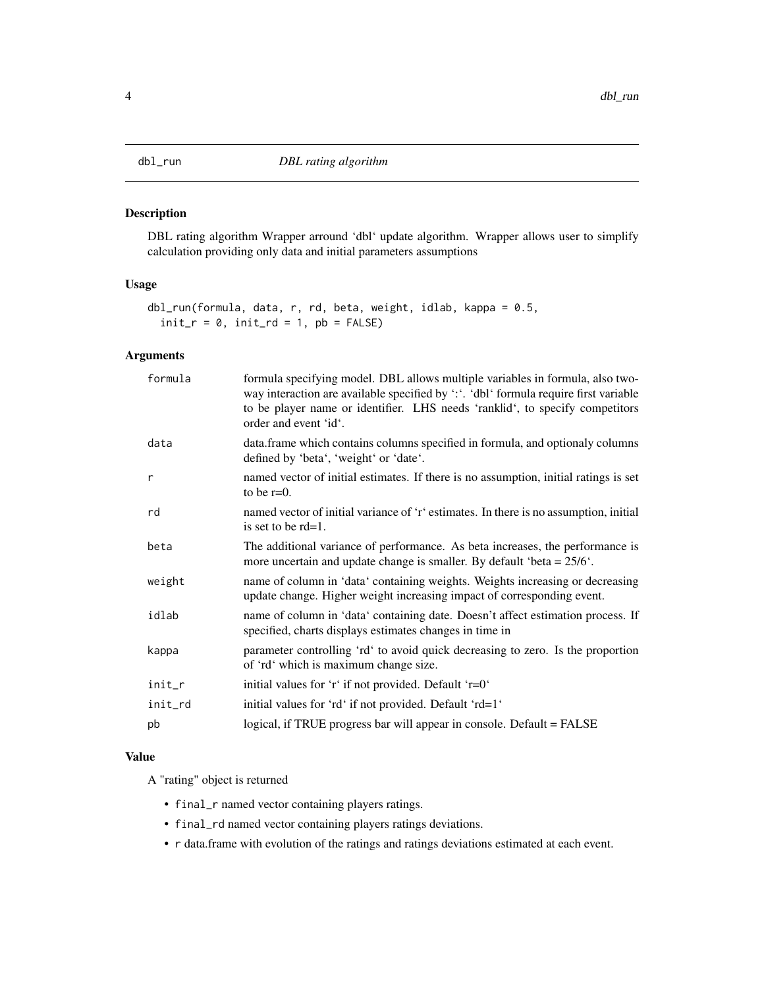#### <span id="page-3-0"></span>Description

DBL rating algorithm Wrapper arround 'dbl' update algorithm. Wrapper allows user to simplify calculation providing only data and initial parameters assumptions

#### Usage

```
dbl_run(formula, data, r, rd, beta, weight, idlab, kappa = 0.5,
 init_r = 0, init_r = 1, pb = FALSE)
```
#### Arguments

| formula | formula specifying model. DBL allows multiple variables in formula, also two-<br>way interaction are available specified by ":". 'dbl' formula require first variable<br>to be player name or identifier. LHS needs 'ranklid', to specify competitors<br>order and event 'id'. |
|---------|--------------------------------------------------------------------------------------------------------------------------------------------------------------------------------------------------------------------------------------------------------------------------------|
| data    | data.frame which contains columns specified in formula, and optionaly columns<br>defined by 'beta', 'weight' or 'date'.                                                                                                                                                        |
| r       | named vector of initial estimates. If there is no assumption, initial ratings is set<br>to be $r=0$ .                                                                                                                                                                          |
| rd      | named vector of initial variance of 'r' estimates. In there is no assumption, initial<br>is set to be $rd=1$ .                                                                                                                                                                 |
| beta    | The additional variance of performance. As beta increases, the performance is<br>more uncertain and update change is smaller. By default 'beta = $25/6$ '.                                                                                                                     |
| weight  | name of column in 'data' containing weights. Weights increasing or decreasing<br>update change. Higher weight increasing impact of corresponding event.                                                                                                                        |
| idlab   | name of column in 'data' containing date. Doesn't affect estimation process. If<br>specified, charts displays estimates changes in time in                                                                                                                                     |
| kappa   | parameter controlling 'rd' to avoid quick decreasing to zero. Is the proportion<br>of 'rd' which is maximum change size.                                                                                                                                                       |
| init_r  | initial values for 'r' if not provided. Default 'r=0'                                                                                                                                                                                                                          |
| init_rd | initial values for 'rd' if not provided. Default 'rd=1'                                                                                                                                                                                                                        |
| pb      | logical, if TRUE progress bar will appear in console. Default = FALSE                                                                                                                                                                                                          |

#### Value

A "rating" object is returned

- final\_r named vector containing players ratings.
- final\_rd named vector containing players ratings deviations.
- r data.frame with evolution of the ratings and ratings deviations estimated at each event.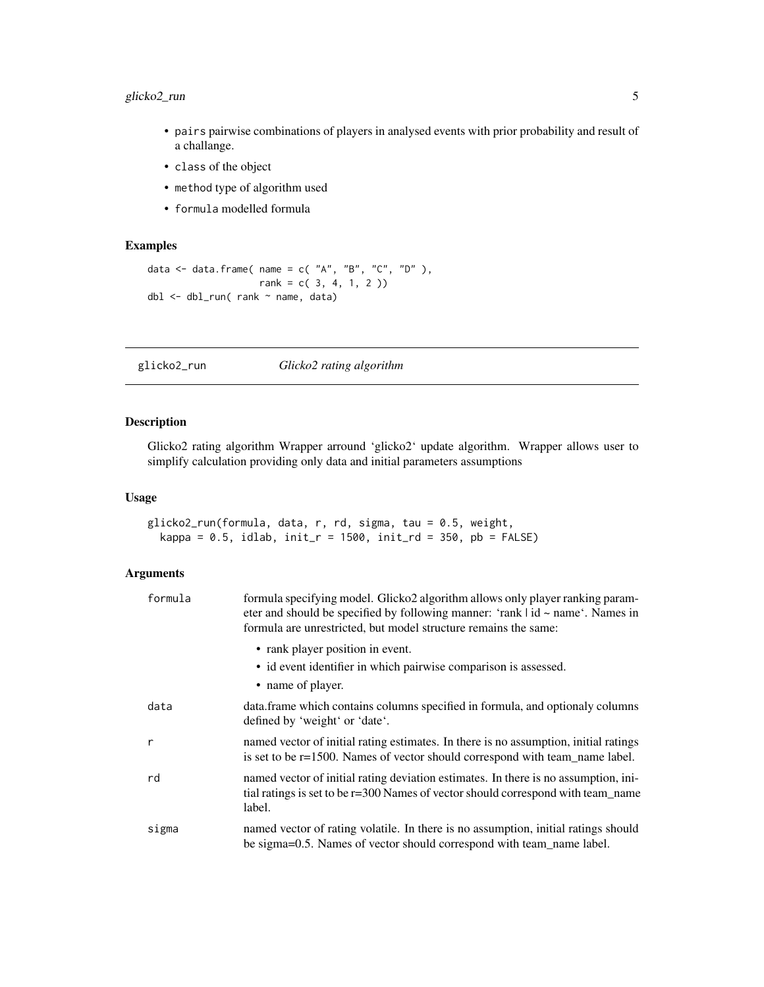#### <span id="page-4-0"></span>glicko2\_run 5

- pairs pairwise combinations of players in analysed events with prior probability and result of a challange.
- class of the object
- method type of algorithm used
- formula modelled formula

#### Examples

```
data <- data.frame( name = c( "A", "B", "C", "D" ),
                    rank = c( 3, 4, 1, 2 ))
dbl <- dbl_run( rank ~ name, data)
```
glicko2\_run *Glicko2 rating algorithm*

#### Description

Glicko2 rating algorithm Wrapper arround 'glicko2' update algorithm. Wrapper allows user to simplify calculation providing only data and initial parameters assumptions

#### Usage

```
glicko2_run(formula, data, r, rd, sigma, tau = 0.5, weight,
  kappa = 0.5, idlab, init_r = 1500, init_rd = 350, pb = FALSE)
```

| formula | formula specifying model. Glicko2 algorithm allows only player ranking param-<br>eter and should be specified by following manner: 'rank $\vert$ id $\sim$ name'. Names in<br>formula are unrestricted, but model structure remains the same: |
|---------|-----------------------------------------------------------------------------------------------------------------------------------------------------------------------------------------------------------------------------------------------|
|         | • rank player position in event.                                                                                                                                                                                                              |
|         | • id event identifier in which pairwise comparison is assessed.<br>• name of player.                                                                                                                                                          |
| data    | data. frame which contains columns specified in formula, and optionaly columns<br>defined by 'weight' or 'date'.                                                                                                                              |
| r       | named vector of initial rating estimates. In there is no assumption, initial ratings<br>is set to be r=1500. Names of vector should correspond with team_name label.                                                                          |
| rd      | named vector of initial rating deviation estimates. In there is no assumption, ini-<br>tial ratings is set to be r=300 Names of vector should correspond with team_name<br>label.                                                             |
| sigma   | named vector of rating volatile. In there is no assumption, initial ratings should<br>be sigma=0.5. Names of vector should correspond with team_name label.                                                                                   |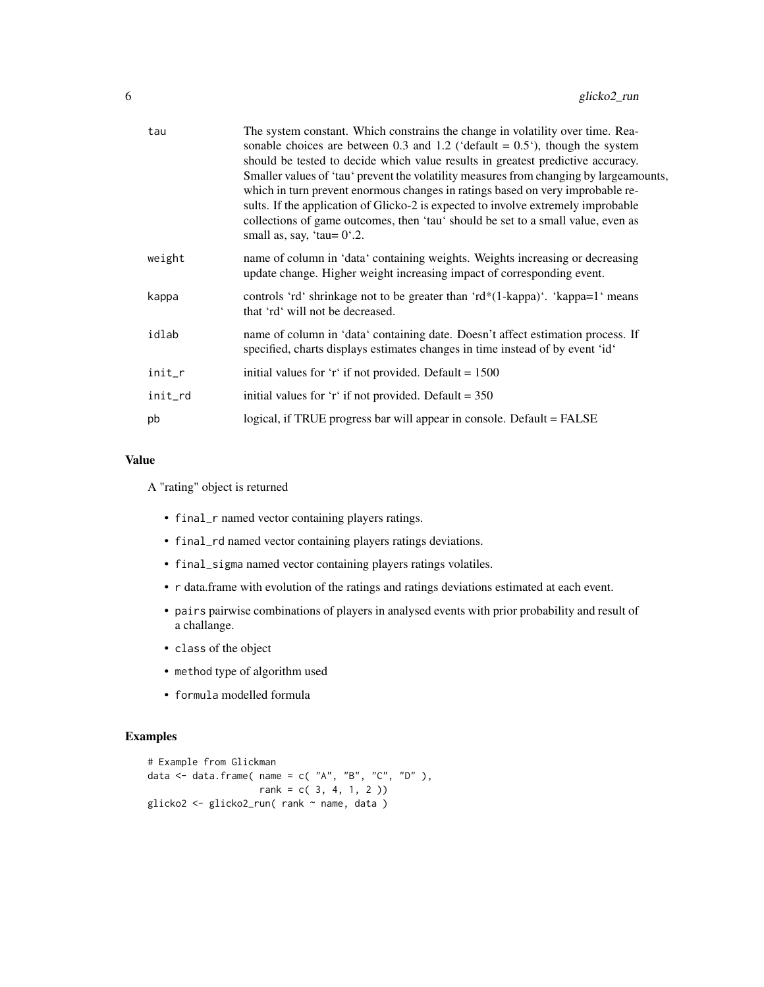| tau     | The system constant. Which constrains the change in volatility over time. Rea-<br>sonable choices are between 0.3 and 1.2 ('default = $0.5$ '), though the system<br>should be tested to decide which value results in greatest predictive accuracy.<br>Smaller values of 'tau' prevent the volatility measures from changing by large amounts,<br>which in turn prevent enormous changes in ratings based on very improbable re-<br>sults. If the application of Glicko-2 is expected to involve extremely improbable<br>collections of game outcomes, then 'tau' should be set to a small value, even as<br>small as, say, 'tau= $0^{\circ}.2$ . |
|---------|----------------------------------------------------------------------------------------------------------------------------------------------------------------------------------------------------------------------------------------------------------------------------------------------------------------------------------------------------------------------------------------------------------------------------------------------------------------------------------------------------------------------------------------------------------------------------------------------------------------------------------------------------|
| weight  | name of column in 'data' containing weights. Weights increasing or decreasing<br>update change. Higher weight increasing impact of corresponding event.                                                                                                                                                                                                                                                                                                                                                                                                                                                                                            |
| kappa   | controls 'rd' shrinkage not to be greater than 'rd*(1-kappa)'. 'kappa=1' means<br>that 'rd' will not be decreased.                                                                                                                                                                                                                                                                                                                                                                                                                                                                                                                                 |
| idlab   | name of column in 'data' containing date. Doesn't affect estimation process. If<br>specified, charts displays estimates changes in time instead of by event 'id'                                                                                                                                                                                                                                                                                                                                                                                                                                                                                   |
| init_r  | initial values for 'r' if not provided. Default = $1500$                                                                                                                                                                                                                                                                                                                                                                                                                                                                                                                                                                                           |
| init_rd | initial values for 'r' if not provided. Default = $350$                                                                                                                                                                                                                                                                                                                                                                                                                                                                                                                                                                                            |
| pb      | logical, if TRUE progress bar will appear in console. Default = FALSE                                                                                                                                                                                                                                                                                                                                                                                                                                                                                                                                                                              |
|         |                                                                                                                                                                                                                                                                                                                                                                                                                                                                                                                                                                                                                                                    |

#### Value

A "rating" object is returned

- final\_r named vector containing players ratings.
- final\_rd named vector containing players ratings deviations.
- final\_sigma named vector containing players ratings volatiles.
- r data.frame with evolution of the ratings and ratings deviations estimated at each event.
- pairs pairwise combinations of players in analysed events with prior probability and result of a challange.
- class of the object
- method type of algorithm used
- formula modelled formula

#### Examples

```
# Example from Glickman
data \leq data.frame( name = c( "A", "B", "C", "D" ),
                   rank = c( 3, 4, 1, 2 ))
glicko2 <- glicko2_run( rank ~ name, data )
```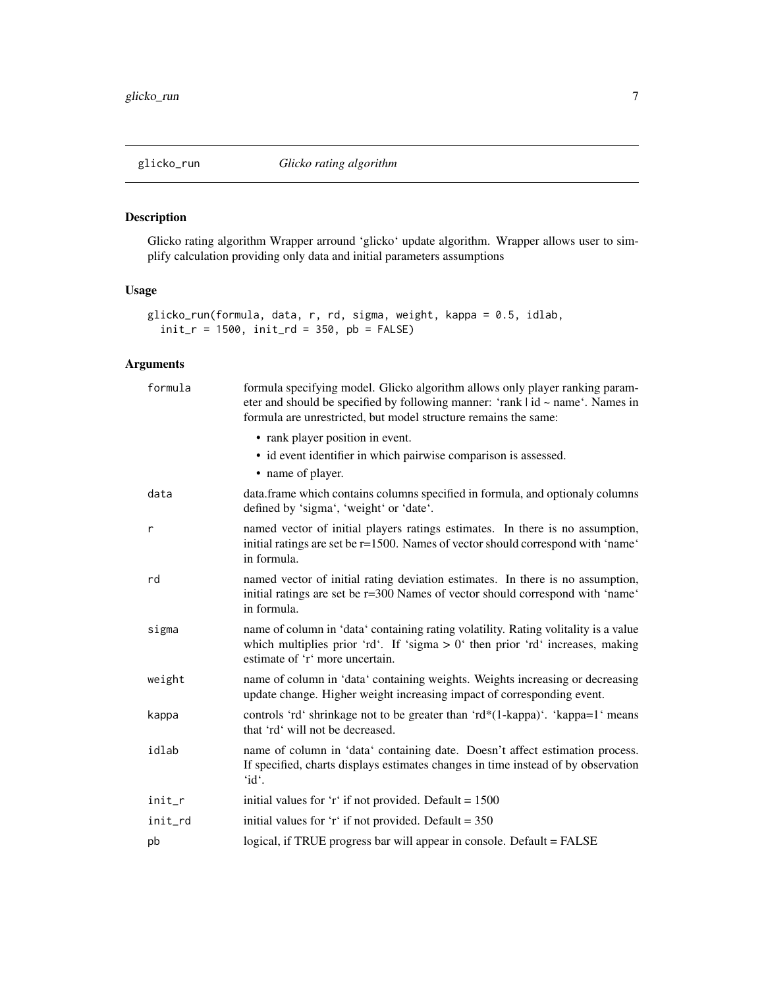#### <span id="page-6-0"></span>Description

Glicko rating algorithm Wrapper arround 'glicko' update algorithm. Wrapper allows user to simplify calculation providing only data and initial parameters assumptions

#### Usage

```
glicko_run(formula, data, r, rd, sigma, weight, kappa = 0.5, idlab,
  init_r = 1500, init_r = 350, pb = FALSE)
```

| formula | formula specifying model. Glicko algorithm allows only player ranking param-<br>eter and should be specified by following manner: 'rank $\vert$ id $\sim$ name'. Names in<br>formula are unrestricted, but model structure remains the same: |
|---------|----------------------------------------------------------------------------------------------------------------------------------------------------------------------------------------------------------------------------------------------|
|         | • rank player position in event.<br>• id event identifier in which pairwise comparison is assessed.<br>• name of player.                                                                                                                     |
| data    | data.frame which contains columns specified in formula, and optionaly columns<br>defined by 'sigma', 'weight' or 'date'.                                                                                                                     |
| r       | named vector of initial players ratings estimates. In there is no assumption,<br>initial ratings are set be r=1500. Names of vector should correspond with 'name'<br>in formula.                                                             |
| rd      | named vector of initial rating deviation estimates. In there is no assumption,<br>initial ratings are set be r=300 Names of vector should correspond with 'name'<br>in formula.                                                              |
| sigma   | name of column in 'data' containing rating volatility. Rating volitality is a value<br>which multiplies prior 'rd'. If 'sigma $> 0$ ' then prior 'rd' increases, making<br>estimate of 'r' more uncertain.                                   |
| weight  | name of column in 'data' containing weights. Weights increasing or decreasing<br>update change. Higher weight increasing impact of corresponding event.                                                                                      |
| kappa   | controls 'rd' shrinkage not to be greater than 'rd*(1-kappa)'. 'kappa=1' means<br>that 'rd' will not be decreased.                                                                                                                           |
| idlab   | name of column in 'data' containing date. Doesn't affect estimation process.<br>If specified, charts displays estimates changes in time instead of by observation<br>'id'.                                                                   |
| init_r  | initial values for 'r' if not provided. Default = $1500$                                                                                                                                                                                     |
| init_rd | initial values for 'r' if not provided. Default = $350$                                                                                                                                                                                      |
| pb      | logical, if TRUE progress bar will appear in console. Default = FALSE                                                                                                                                                                        |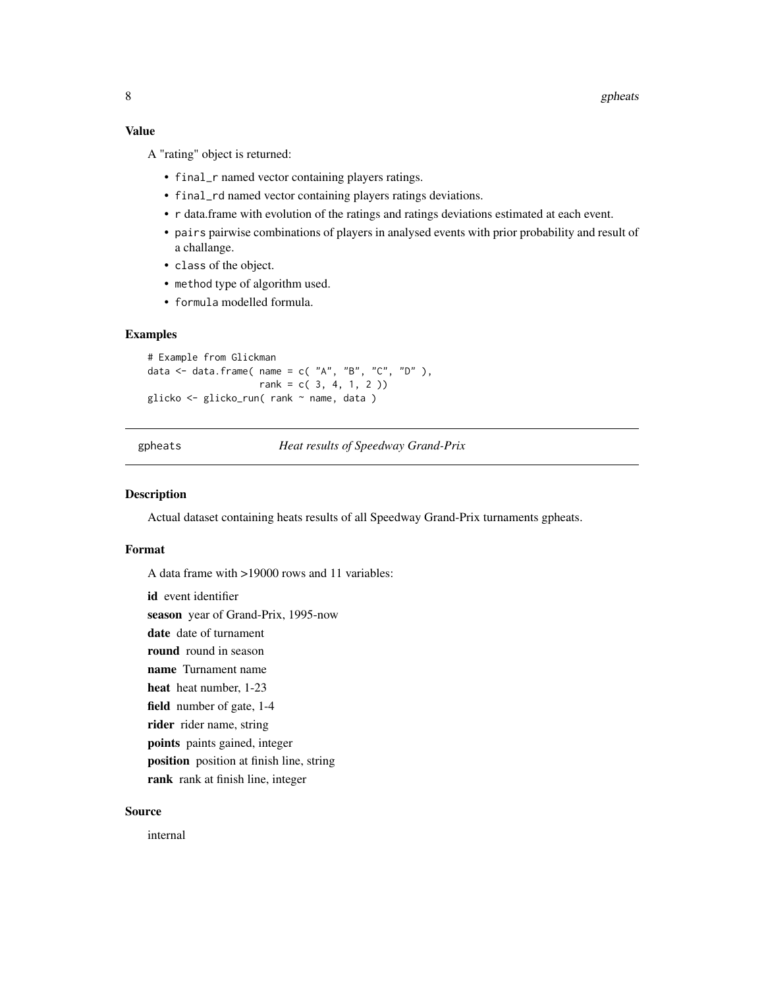#### <span id="page-7-0"></span>Value

A "rating" object is returned:

- final\_r named vector containing players ratings.
- final\_rd named vector containing players ratings deviations.
- r data.frame with evolution of the ratings and ratings deviations estimated at each event.
- pairs pairwise combinations of players in analysed events with prior probability and result of a challange.
- class of the object.
- method type of algorithm used.
- formula modelled formula.

#### Examples

```
# Example from Glickman
data \leq data.frame( name = c( "A", "B", "C", "D" ),
                   rank = c(3, 4, 1, 2)glicko <- glicko_run( rank ~ name, data )
```
gpheats *Heat results of Speedway Grand-Prix*

#### Description

Actual dataset containing heats results of all Speedway Grand-Prix turnaments gpheats.

#### Format

A data frame with >19000 rows and 11 variables:

id event identifier season year of Grand-Prix, 1995-now date date of turnament round round in season name Turnament name heat heat number, 1-23 field number of gate, 1-4 rider rider name, string points paints gained, integer position position at finish line, string rank rank at finish line, integer

#### Source

internal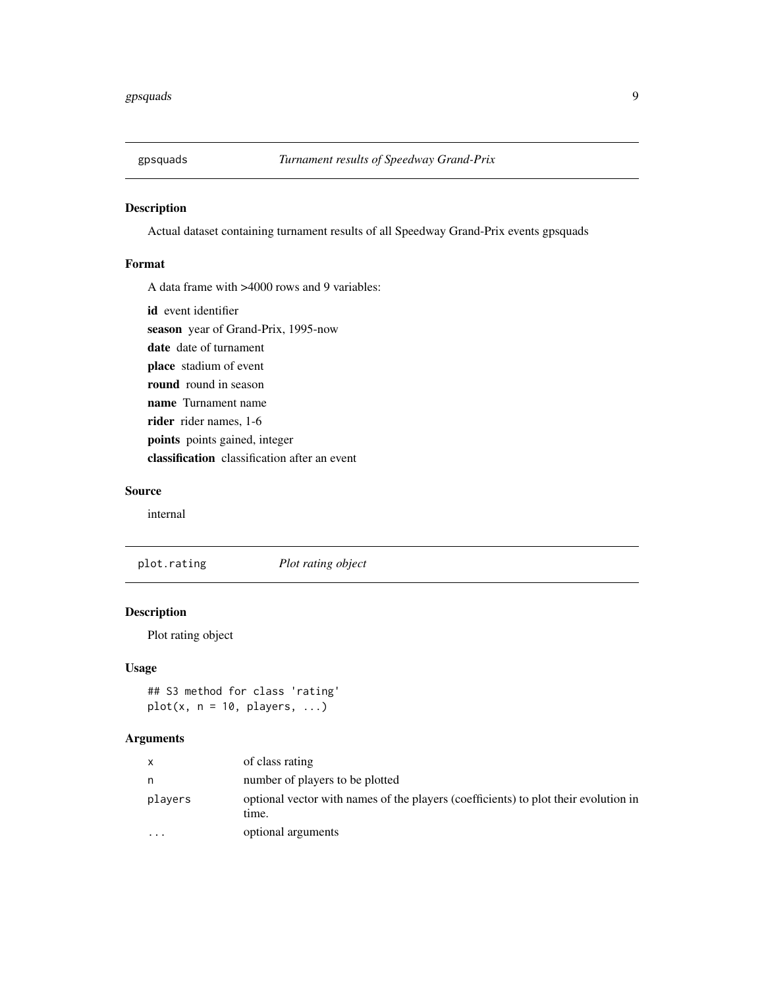<span id="page-8-0"></span>

#### Description

Actual dataset containing turnament results of all Speedway Grand-Prix events gpsquads

#### Format

A data frame with >4000 rows and 9 variables:

id event identifier

season year of Grand-Prix, 1995-now

date date of turnament

place stadium of event

round round in season

name Turnament name

rider rider names, 1-6

points points gained, integer

classification classification after an event

#### Source

internal

plot.rating *Plot rating object*

#### Description

Plot rating object

#### Usage

## S3 method for class 'rating'  $plot(x, n = 10, players, ...)$ 

|          | of class rating                                                                              |
|----------|----------------------------------------------------------------------------------------------|
| n        | number of players to be plotted                                                              |
| players  | optional vector with names of the players (coefficients) to plot their evolution in<br>time. |
| $\cdots$ | optional arguments                                                                           |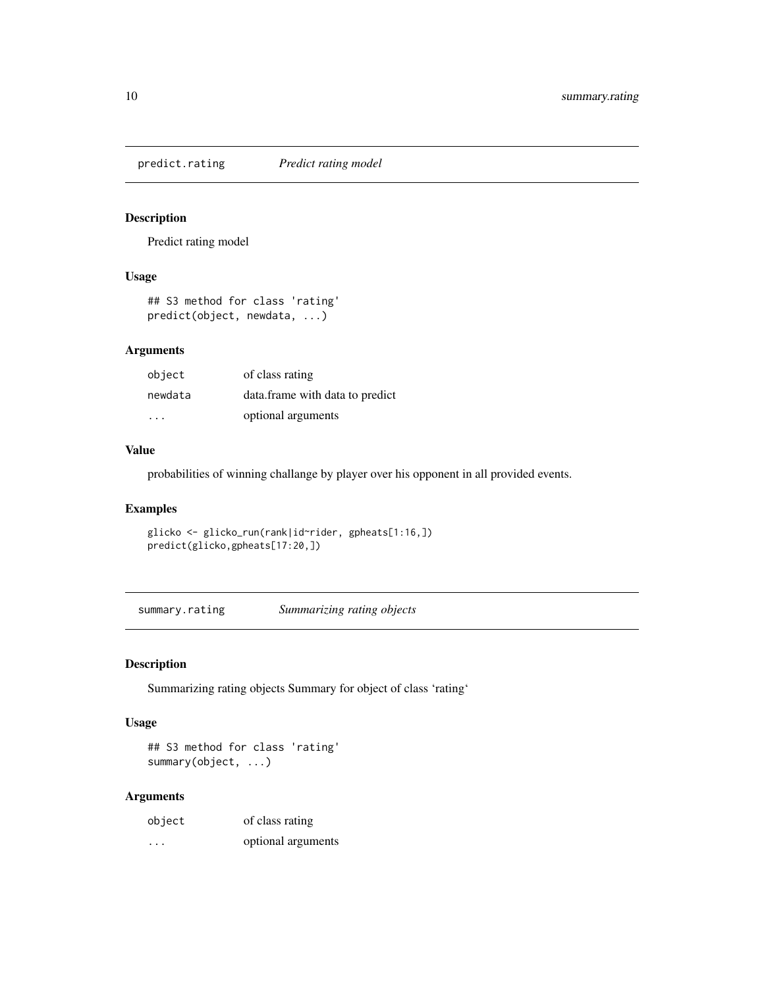<span id="page-9-0"></span>predict.rating *Predict rating model*

#### Description

Predict rating model

#### Usage

```
## S3 method for class 'rating'
predict(object, newdata, ...)
```
#### Arguments

| object  | of class rating                 |
|---------|---------------------------------|
| newdata | data.frame with data to predict |
| .       | optional arguments              |

#### Value

probabilities of winning challange by player over his opponent in all provided events.

#### Examples

```
glicko <- glicko_run(rank|id~rider, gpheats[1:16,])
predict(glicko,gpheats[17:20,])
```
summary.rating *Summarizing rating objects*

#### Description

Summarizing rating objects Summary for object of class 'rating'

#### Usage

```
## S3 method for class 'rating'
summary(object, ...)
```

| object                  | of class rating    |
|-------------------------|--------------------|
| $\cdot$ $\cdot$ $\cdot$ | optional arguments |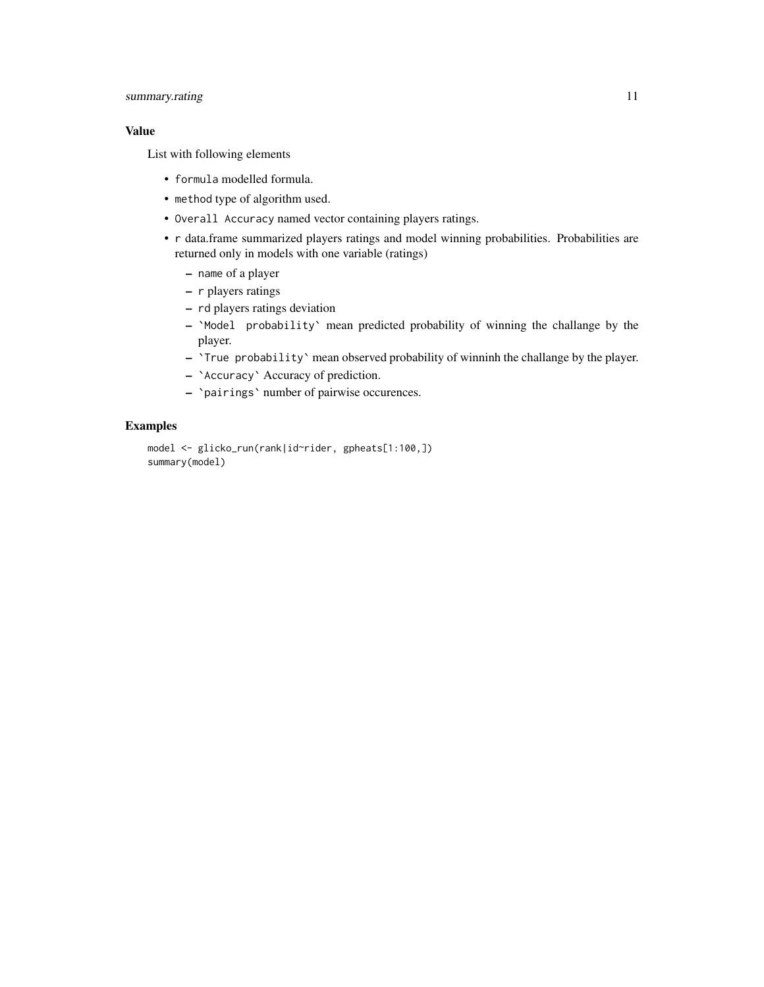#### summary.rating 11

#### Value

List with following elements

- formula modelled formula.
- method type of algorithm used.
- Overall Accuracy named vector containing players ratings.
- r data.frame summarized players ratings and model winning probabilities. Probabilities are returned only in models with one variable (ratings)
	- name of a player
	- r players ratings
	- rd players ratings deviation
	- `Model probability` mean predicted probability of winning the challange by the player.
	- `True probability` mean observed probability of winninh the challange by the player.
	- `Accuracy` Accuracy of prediction.
	- `pairings` number of pairwise occurences.

#### Examples

```
model <- glicko_run(rank|id~rider, gpheats[1:100,])
summary(model)
```